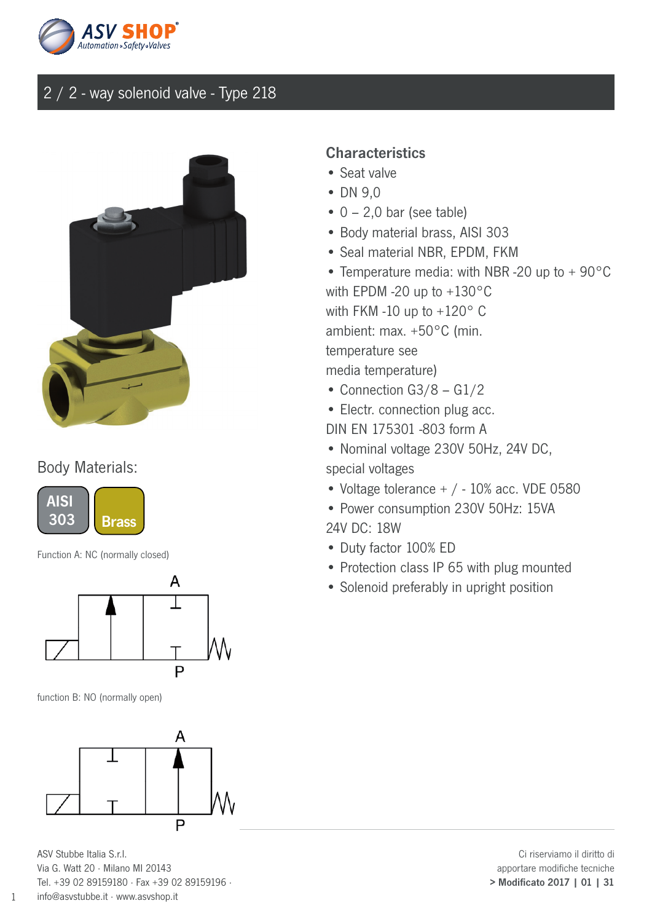



#### Body Materials:



Function A: NC (normally closed)



function B: NO (normally open)



ASV Stubbe Italia S.r.l. Via G. Watt 20 · Milano MI 20143 Tel. +39 02 89159180 · Fax +39 02 89159196 · info@asvstubbe.it · www.asvshop.it

1

#### **Characteristics**

- Seat valve
- DN 9,0
- $\bullet$  0 2,0 bar (see table)
- Body material brass, AISI 303
- Seal material NBR, EPDM, FKM
- Temperature media: with NBR -20 up to + 90°C with EPDM -20 up to +130°C with FKM -10 up to +120° C ambient: max. +50°C (min. temperature see media temperature)
- Connection G3/8 G1/2
- Electr. connection plug acc.
- DIN EN 175301 -803 form A
- Nominal voltage 230V 50Hz, 24V DC,
- special voltages
- Voltage tolerance + / 10% acc. VDE 0580
- Power consumption 230V 50Hz: 15VA 24V DC: 18W
- Duty factor 100% ED
- Protection class IP 65 with plug mounted
- Solenoid preferably in upright position

Ci riserviamo il diritto di apportare modifiche tecniche > Modificato 2017 | 01 | 31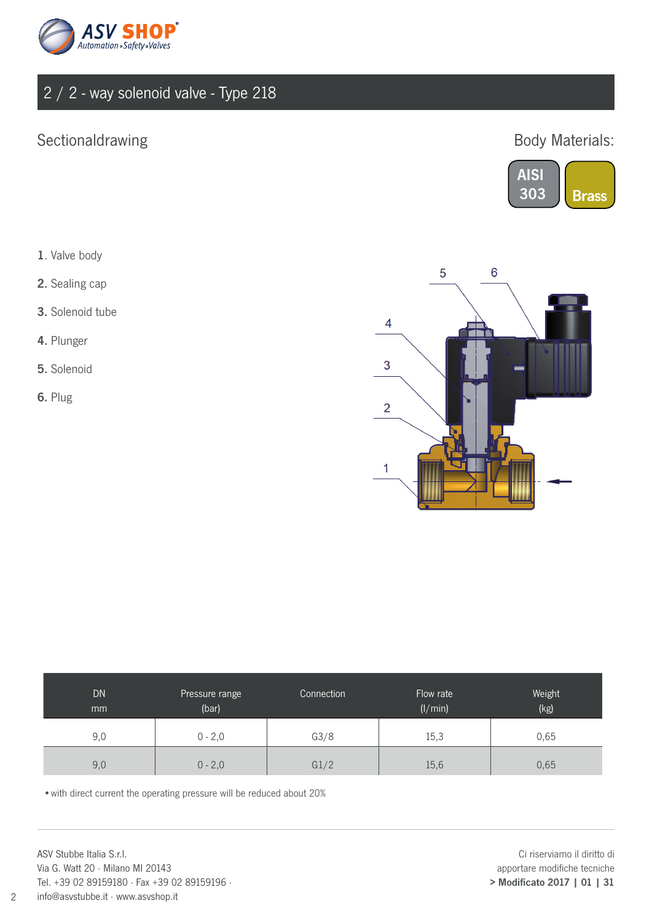

## Sectionaldrawing

### Body Materials:



- 1. Valve body
- 2. Sealing cap
- 3. Solenoid tube
- 4. Plunger
- 5. Solenoid
- 6. Plug



| DN.<br>mm | Pressure range<br>(bar) | Connection | Flow rate<br>(1/min) | Weight<br>(kg) |
|-----------|-------------------------|------------|----------------------|----------------|
| 9,0       | $0 - 2,0$               | G3/8       | 15,3                 | 0,65           |
| 9,0       | $0 - 2,0$               | G1/2       | 15,6                 | 0,65           |

•with direct current the operating pressure will be reduced about 20%

ASV Stubbe Italia S.r.l. Via G. Watt 20 · Milano MI 20143 Tel. +39 02 89159180 · Fax +39 02 89159196 · info@asvstubbe.it · www.asvshop.it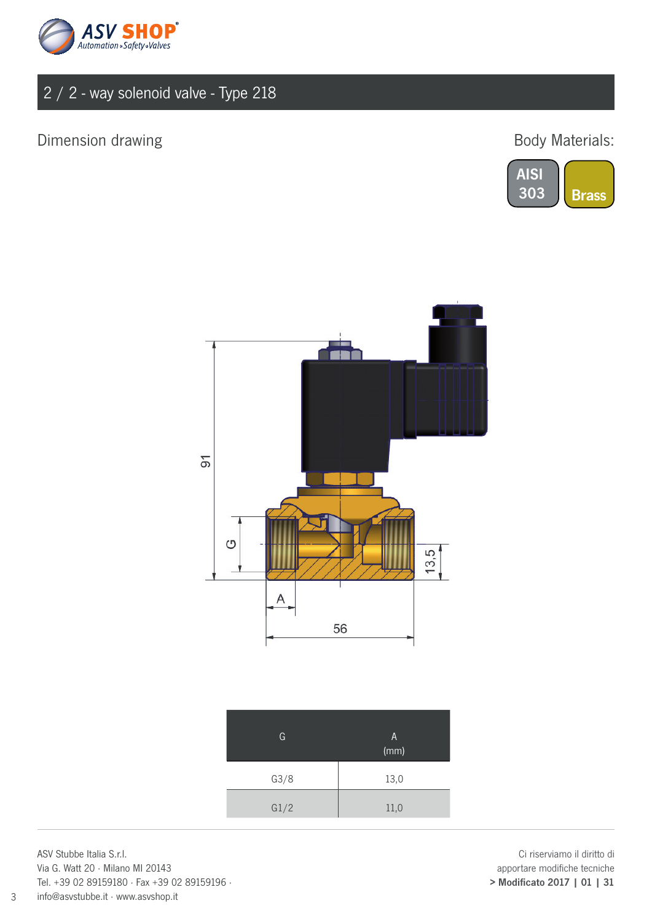

## Dimension drawing and the state of the Body Materials:





| G    | A<br>(mm) |
|------|-----------|
| G3/8 | 13,0      |
| G1/2 | 11,0      |

ASV Stubbe Italia S.r.l. Via G. Watt 20 · Milano MI 20143 Tel. +39 02 89159180 · Fax +39 02 89159196 · info@asvstubbe.it · www.asvshop.it

3

Ci riserviamo il diritto di apportare modifiche tecniche > Modificato 2017 | 01 | 31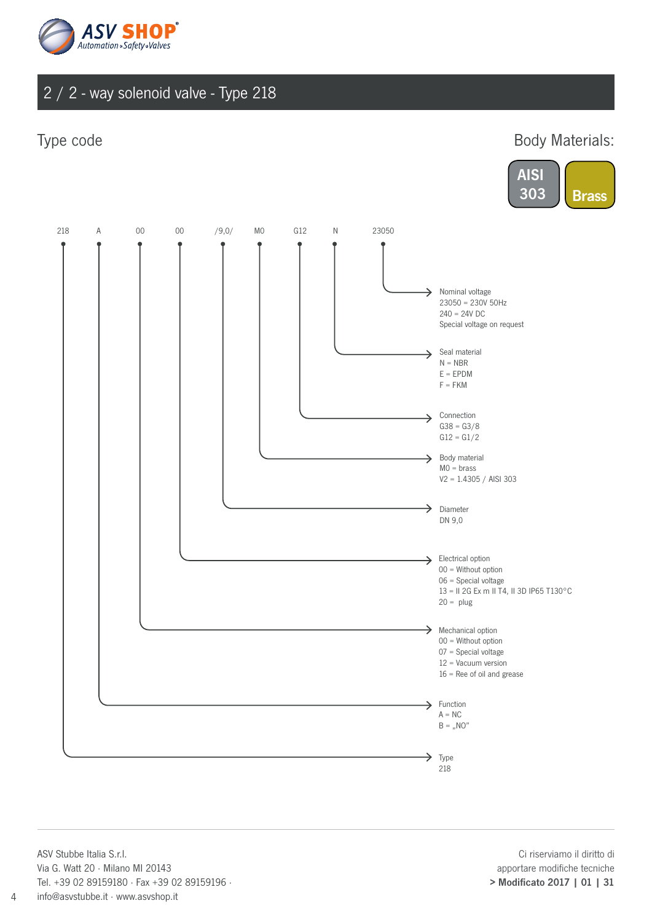

Type code **Body Materials:** 





ASV Stubbe Italia S.r.l. Via G. Watt 20 · Milano MI 20143 Tel. +39 02 89159180 · Fax +39 02 89159196 · info@asvstubbe.it · www.asvshop.it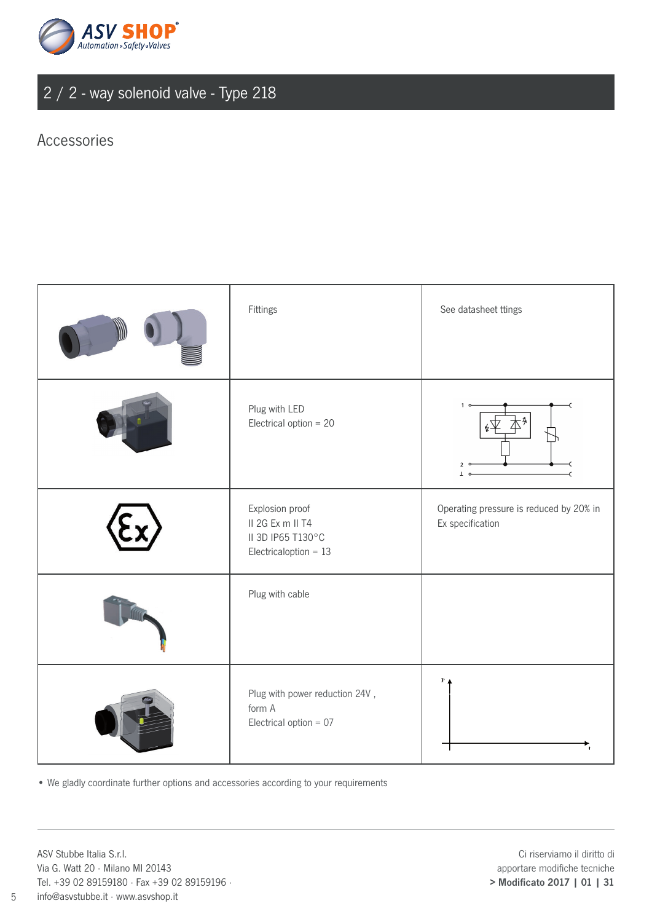

#### Accessories

| Fittings                                                                            | See datasheet ttings                                        |
|-------------------------------------------------------------------------------------|-------------------------------------------------------------|
| Plug with LED<br>Electrical option $= 20$                                           | 1 <sub>0</sub>                                              |
| Explosion proof<br>II 2G Ex m II T4<br>II 3D IP65 T130°C<br>Electricaloption = $13$ | Operating pressure is reduced by 20% in<br>Ex specification |
| Plug with cable                                                                     |                                                             |
| Plug with power reduction 24V,<br>form A<br>Electrical option = $07$                | $\mathbf{P}$                                                |

• We gladly coordinate further options and accessories according to your requirements

ASV Stubbe Italia S.r.l. Via G. Watt 20 · Milano MI 20143 Tel. +39 02 89159180 · Fax +39 02 89159196 · info@asvstubbe.it · www.asvshop.it